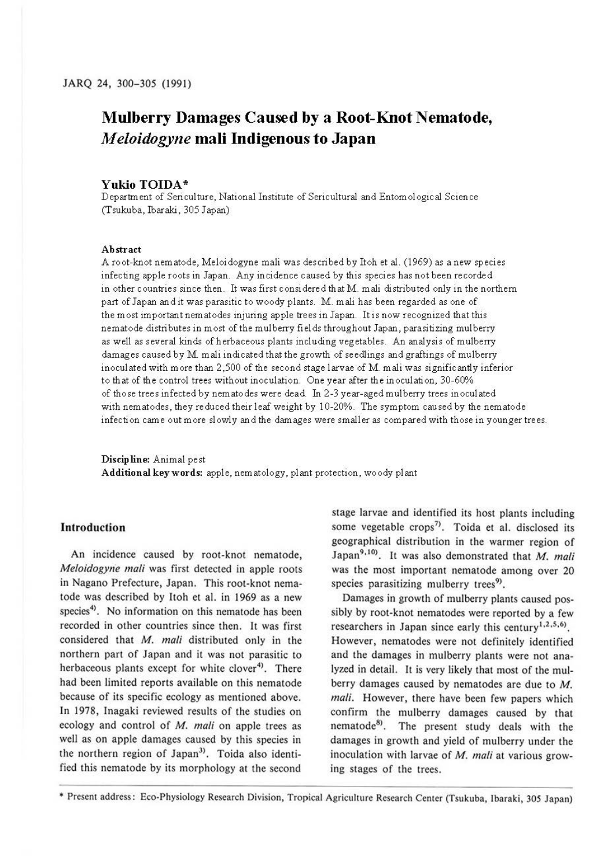# **Mulberry Damages Caused by a Root-Knot Nematode,**  *M eloidogyne* **mali Indigenous to Japan**

#### **Yukio TOIDA** \*

Department of Seri culture, National Institute of Sericultural and Entomological Science (Tsukuba, Ibaraki, 305 Japan)

#### **Abstract**

A root-knot nematode, Meloidogyne mali was described by Itoh et al. (1969) as a new species infecting apple roots in Japan. Any incidence caused by this species has not been recorded in other countries since then. It was first considered that M. mali distributed only in the northern part of Japan and it was parasitic to woody plants. M. mali has been regarded as one of the most important nematodes injuring apple trees in Japan. It is now recognized that this nematode distributes in most of the mulberry fields throughout Japan, parasitizing mulberry as well as several kinds of herbaceous plants including vegetables. An analysis of mulberry damages caused by M. mali indicated that the growth of seedlings and graftings of mulberry inoculated with more than 2,500 of the second stage larvae of M. mali was significantly inferior to that of the control trees without inoculation. One year after the inoculation, 30-60% of those trees infected by nematodes were dead. In 2-3 year-aged mulberry trees inoculated with nematodes, they reduced their I eaf weight by 10-20%. The symptom caused by the nematode infection came out more slowly and the damages were smaller as compared with those in younger trees.

**Discipline:** Animal pest Additional key words: apple, nem atology, plant protection, woody plant

### **Introduction**

An incidence caused by root-knot nematode, *Meloidogyne mali* was first detected in apple roots in Nagano Prefecture, Japan. This root-knot nematode was described by ltoh et al. in 1969 as a new species<sup>4</sup>). No information on this nematode has been recorded in other countries since then. It was first considered that *M. mali* distributed only in the northern part of Japan and it was not parasitic to herbaceous plants except for white clover<sup>4</sup>. There had been limited reports available on this nematode because of its specific ecology as mentioned above. In 1978, Inagaki reviewed results of the studies on ecology and control of *M. mali* on apple trees as well as on apple damages caused by this species in the northern region of Japan<sup>3)</sup>. Toida also identified this nematode by its morphology at the second

stage larvae and identified its host plants including some vegetable crops<sup>7)</sup>. Toida et al. disclosed its geographical distribution in the warmer region of Japan<sup>9,10</sup>). It was also demonstrated that M. mali was the most important nematode among over 20 species parasitizing mulberry trees<sup>9</sup>.

Damages in growth of mulberry plants caused possibly by root-knot nematodes were reported by a few researchers in Japan since early this century<sup>1,2,5,6</sup>). However, nematodes were not definitely identified and the damages in mulberry plants were not analyzed in detail. It is very likely that most of the mulberry damages caused by nematodes are due to *M. mali.* However, there have been few papers which confirm the mulberry damages caused by that nematode<sup>8)</sup>. The present study deals with the damages in growth and yield of mulberry under the inoculation with larvae of *M. mali* at various growing stages of the trees.

• Present address: Eco-Physiology Research Division, Tropical Agriculture Research Center (Tsukuba, lbaraki, 305 Japan)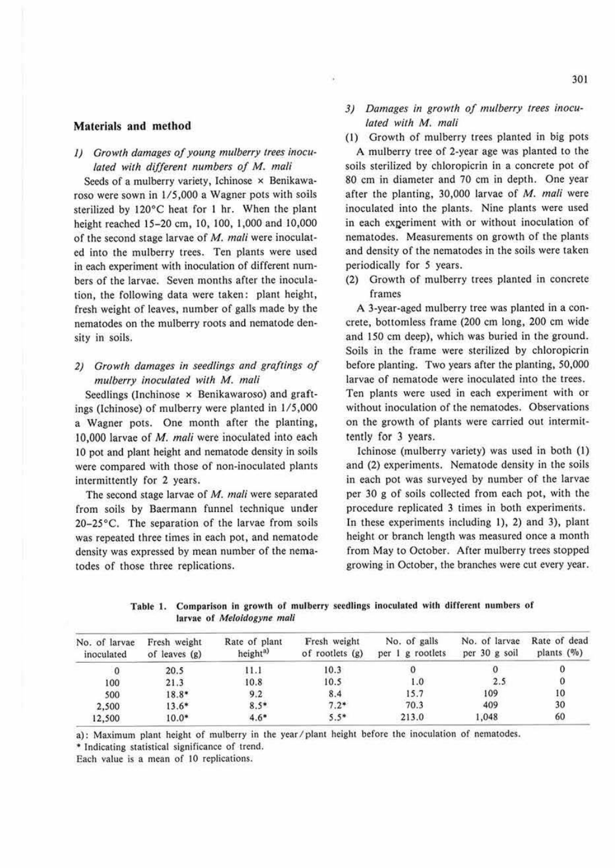#### **Materials and method**

## 1) Growth damages of young mulberry trees inocu*lated with different numbers of M. mali*

Seeds of a mulberry variety, Ichinose × Benikawaroso were sown in 1/5,000 a Wagner pots with soils sterilized by 120°C heat for 1 hr. When the plant height reached 15-20 cm, 10,100, 1,000 and 10,000 of the second stage larvae of M. *mali* were inoculated into the mulberry trees. Ten plants were used in each experiment with inoculation of different numbers of the larvae. Seven months after the inoculation, the following data were taken: plant height, fresh weight of leaves, number of galls made by the nemaiodes on the mulberry roots and nematode density in soils.

# 2) Growth damages in seedlings and graftings of  $mulberry$  *inoculated with* M. *mali*

Seedlings (Inchinose x Benikawaroso) and graftings (Ichinose) of mulberry were planted in 1/5,000 a Wagner pots. One month after the planting, 10,000 larvae of *M. mali* were inoculated into each IO pot and plant height and nematode density in soils were compared with those of non-inoculated plants intermittently for 2 years.

The second stage larvae of *M. mali* were separated from soils by Baermann funnel technique under 20-25°C. The separation of the larvae from soils was repeated three times in each pot, and nematode density was expressed by mean number of the nematodes of those three replications.

- 3) Damages in growth of mulberry trees inocu*lated with M. mali*
- (I) Growth of mulberry trees planted in big pots

A mulberry tree of 2-year age was planted to the soils sterilized by chloropicrin in a concrete pot of 80 cm in diameter and 70 cm in depth. One year after the planting, 30,000 larvae of M. *mali* were inoculated into the plants. Nine plants were used in each experiment with or without inoculation of nematodes. Measurements on growth of the plants and density of the nematodes in the soils were taken periodically for *5* years.

(2) Growth of mulberry trees planted in concrete frames

A 3-year-aged mulberry tree was planted in a concrete, bottomless frame (200 cm long, 200 cm wide and 150 cm deep), which was buried in the ground. Soils in the frame were sterilized by chloropicrin before plaming. Two years after the planting, 50,000 larvae of nematode were inoculated into the trees. Ten plants were used in each experiment with or without inoculation of the nematodes. Observations on the growth of plants were carried out intermittently for 3 years.

Ichinose (mulberry variety) was used in both (I) and (2) experiments. Nematode density in the soils in each pot was surveyed by number of the larvae per 30 g of soils collected from each pot, with the procedure replicated 3 times in both experiments. In these experiments including I), 2) and 3), plant height or branch length was measured once a month from May to October. After mulberry trees stopped growing in October, the branches were cut every year.

Table 1. Comparison in growth of mulberry seedlings inoculated with different numbers of larvae of Meloidogyne mali

| No. of larvae<br>inoculated | Fresh weight<br>of leaves $(g)$ | Rate of plant<br>height <sup>a)</sup> | Fresh weight<br>of rootlets $(g)$ | No. of galls<br>per 1 g rootlets | No. of larvae<br>per 30 g soil | Rate of dead<br>plants $(\%)$ |
|-----------------------------|---------------------------------|---------------------------------------|-----------------------------------|----------------------------------|--------------------------------|-------------------------------|
|                             | 20.5                            | 11.1                                  | 10.3                              |                                  |                                |                               |
| 100                         | 21.3                            | 10.8                                  | 10.5                              | 1.0                              | 2.5                            |                               |
| 500                         | 18.8*                           | 9.2                                   | 8.4                               | 15.7                             | 109                            | 10                            |
| 2,500                       | $13.6*$                         | $8.5*$                                | $7.2*$                            | 70.3                             | 409                            | 30                            |
| 12,500                      | $10.0*$                         | $4.6*$                                | $5.5*$                            | 213.0                            | 1,048                          | 60                            |

a): Maximum plant height of mulberry in the year/plant height before the inoculation of nematodes.

\* Indicating statistical significance of trend.

Each value is a mean of 10 replications.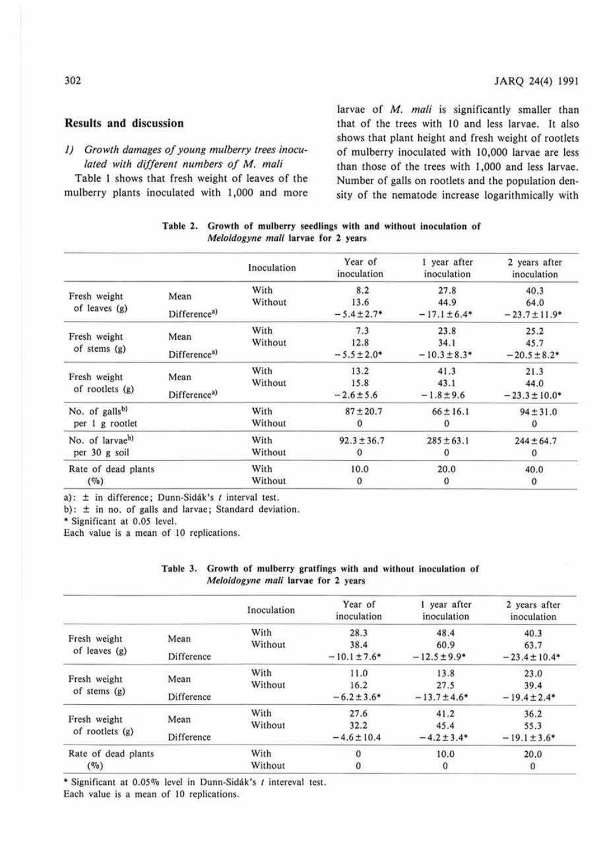# **Results and** discussion

*1) Growth damages of young mulberry trees inoculated with different numbers of M. mali* 

Table I shows that fresh weight of leaves of the mulberry plants inoculated with 1,000 and more

larvae of *M. mali* is significantly smaller than that of the trees with IO and less larvae. It also shows that plant height and fresh weight of rootlets of mulberry inoculated with 10,000 larvae are less than those of the trees with 1,000 and less larvae. Number of galls on rootlets and the population density of the nematode increase logarithmically with

|                            |                          | Inoculation | Year of<br>inoculation | I year after<br>inoculation | 2 years after<br>inoculation |
|----------------------------|--------------------------|-------------|------------------------|-----------------------------|------------------------------|
| Fresh weight               | Mean                     | With        | 8.2                    | 27.8                        | 40.3                         |
|                            |                          | Without     | 13.6                   | 44.9                        | 64.0                         |
| of leaves (g)              | Difference <sup>a)</sup> |             | $-5.4 \pm 2.7$ *       | $-17.1 \pm 6.4*$            | $-23.7 \pm 11.9*$            |
|                            |                          | With        | 7.3                    | 23.8                        | 25.2                         |
| Fresh weight               | Mean                     | Without     | 12.8                   | 34.1                        | 45.7                         |
| of stems (g)               | Difference <sup>a)</sup> |             | $-5.5 \pm 2.0*$        | $-10.3 \pm 8.3*$            | $-20.5 \pm 8.2$ *            |
|                            |                          | With        | 13.2                   | 41.3                        | 21.3                         |
| Fresh weight               | Mean                     | Without     | 15.8                   | 43.1                        | 44.0                         |
| of rootlets $(g)$          | Difference <sup>a)</sup> |             | $-2.6 \pm 5.6$         | $-1.8 \pm 9.6$              | $-23.3 \pm 10.0^*$           |
| No. of galls <sup>b)</sup> |                          | With        | $87 \pm 20.7$          | $66 \pm 16.1$               | $94 \pm 31.0$                |
| per 1 g rootlet            |                          | Without     | $\mathbf{0}$           | $\mathbf{0}$                | $\mathbf{0}$                 |
| No. of larvaeb)            |                          | With        | $92.3 \pm 36.7$        | $285 \pm 63.1$              | $244 \pm 64.7$               |
| per 30 g soil              |                          | Without     | $\bf{0}$               | $\bf{0}$                    | $\mathbf{0}$                 |
| Rate of dead plants        |                          | With        | 10.0                   | 20.0                        | 40.0                         |
| (9/0)                      |                          | Without     | $\mathbf{0}$           | 0                           | $\mathbf{0}$                 |

| Table 2. Growth of mulberry seedlings with and without inoculation of |  |
|-----------------------------------------------------------------------|--|
| <i>Meloidogyne mali</i> larvae for 2 years                            |  |

a):  $\pm$  in difference; Dunn-Sidák's *t* interval test.

b): ± in no. of galls and larvae; Standard deviation.

• Significant at 0.05 level.

Each value is a mean of 10 replications.

| Table 3. Growth of mulberry gratfings with and without inoculation of |  |
|-----------------------------------------------------------------------|--|
| <i>Meloidogyne mali</i> larvae for 2 years                            |  |

|                     |            | Inoculation | Year of<br>inoculation | 1 year after<br>inoculation  | 2 years after<br>inoculation |
|---------------------|------------|-------------|------------------------|------------------------------|------------------------------|
| Fresh weight        | Mean       | With        | 28.3                   | 48.4                         | 40.3                         |
|                     |            | Without     | 38.4                   | 60.9                         | 63.7                         |
| of leaves $(g)$     | Difference |             | $-10.1 \pm 7.6*$       | $-12.5 \pm 9.9$ <sup>*</sup> | $-23.4 \pm 10.4*$            |
|                     |            | With        | 11.0                   | 13.8                         | 23.0                         |
| Fresh weight        | Mean       | Without     | 16.2                   | 27.5                         | 39.4                         |
| of stems $(g)$      | Difference |             | $-6.2 \pm 3.6*$        | $-13.7 \pm 4.6^*$            | $-19.4 \pm 2.4*$             |
|                     | Mean       | With        | 27.6                   | 41.2                         | 36.2                         |
| Fresh weight        |            | Without     | 32.2                   | 45.4                         | 55.3                         |
| of rootlets $(g)$   | Difference |             | $-4.6 \pm 10.4$        | $-4.2 \pm 3.4^*$             | $-19.1 \pm 3.6*$             |
| Rate of dead plants |            | With        | $\mathbf{0}$           | 10.0                         | 20.0                         |
| $(\%)$              |            | Without     | $\mathbf{0}$           | $\bf{0}$                     | $\mathbf{0}$                 |

\* Significant at 0.05% level in Dunn-Sidák's *t* intereval test.

Each value is a mean of 10 replications.

# 302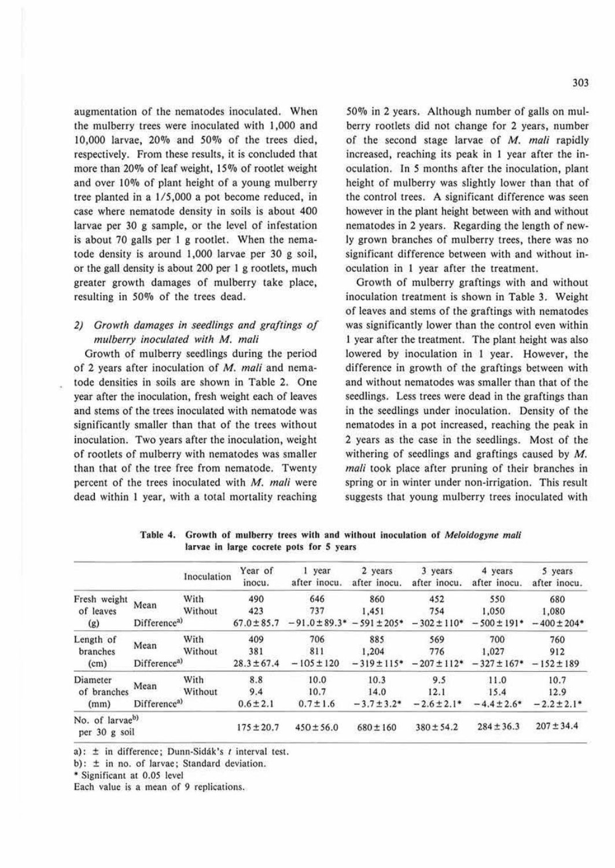augmentation of the nematodes inoculated. When the mulberry trees were inoculated with I ,000 and 10,000 larvae, 20% and 50% of the trees died, respectively. From these results, it is concluded that more than 20% of leaf weight, 15% of rootlet weight and over 10% of plant height of a young mulberry tree planted in a 1/5,000 a pot become reduced, in case where nematode density in soils is about 400 larvae per 30 g sample, or the level of infestation is about 70 galls per I g rootlet. When the nematode density is around 1,000 larvae per 30 g soil, or the gall density is about 200 per I g rootlets, much greater growth damages of mulberry take place, resulting in 50% of the trees dead.

## *2) Grow/h damages in seedlings and gra/lings* cf  $mulberry$  *inoculated with M. mali*

Growth of mulberry seedlings during the period of 2 years after inoculation of *M. mali* and nematode densities in soils are shown in Table 2. One year after the inoculation, fresh weight each of leaves and stems of the trees inoculated with nematode was significantly smaller than that of the trees without inoculation. Two years after the inoculation, weight of rootlets of mulberry with nematodes was smaller than that of the tree free from nematode. Twenty percent of the trees inoculated with *M. mali* were dead within I year, with a total mortality reaching

500/o in 2 years. Although number of galls on mulberry rootlets did not change for 2 years, number of the second stage larvae of *M. mali* rapidly increased, reaching its peak in I year after the inoculation. In *5* months after the inoculation, plant height of mulberry was slightly lower than that of the control trees. A significant difference was seen however in the plant height between with and without nematodes in 2 years. Regarding the length of newly grown branches of mulberry trees, there was no significant difference between with and without inoculation in I year after the treatment.

Growth of mulberry graftings with and without inoculation treatment is shown in Table 3. Weight of leaves and stems of the graftings with nematodes was significantly lower than the control even within 1 year after the treatment. The plant height was also lowered by inoculation in I year. However, the difference in growth of the graftings between with and without nematodes was smaller than that of the seedlings. Less trees were dead in the graftings than in the seedlings under inoculation. Density of the nematodes in a pot increased, reaching the peak in 2 years as the case in the seedlings. Most of the withering of seedlings and graftings caused by  $M$ . *mali* took place after pruning of their branches in spring or in winter under non-irrigation. This result suggests that young mulberry trees inoculated with

|                                              |                                      | Inoculation     | Year of<br>inocu.      | 1 year<br>after inocu. | 2 years<br>after inocu.  | 3 years<br>after inocu. | 4 years<br>after inocu.        | 5 years<br>after inocu.  |
|----------------------------------------------|--------------------------------------|-----------------|------------------------|------------------------|--------------------------|-------------------------|--------------------------------|--------------------------|
| Fresh weight                                 | Mean                                 | With            | 490                    | 646<br>737             | 860                      | 452                     | 550                            | 680                      |
| of leaves<br>(g)                             | Without<br>Difference <sup>a</sup> ) |                 | 423<br>$67.0 \pm 85.7$ | $-91.0 \pm 89.3*$      | 1.451<br>$-591 \pm 205*$ | 754<br>$-302 \pm 110*$  | 1.050<br>$-500 \pm 191$ *      | 1,080<br>$-400 \pm 204*$ |
| Length of<br>branches                        | Mean                                 | With<br>Without | 409<br>381             | 706<br>811             | 885<br>1.204             | 569<br>776              | 700<br>1.027                   | 760<br>912               |
| (cm)                                         | Difference <sup>a)</sup>             |                 | $28.3 \pm 67.4$        | $-105 \pm 120$         | $-319 \pm 115$ *         | $-207 \pm 112*$         | $-327 \pm 167^* - 152 \pm 189$ |                          |
| Diameter<br>of branches                      | Mean                                 | With<br>Without | 8.8<br>9.4             | 10.0<br>10.7           | 10.3<br>14.0             | 9.5<br>12.1             | 11.0<br>15.4                   | 10.7<br>12.9             |
| (mm)                                         | Difference <sup>a)</sup>             |                 | $0.6 \pm 2.1$          | $0.7 \pm 1.6$          | $-3.7 \pm 3.2^*$         | $-2.6 \pm 2.1*$         | $-4.4 \pm 2.6*$                | $-2.2 \pm 2.1$ *         |
| No. of larvae <sup>b)</sup><br>per 30 g soil |                                      |                 | $175 \pm 20.7$         | $450 \pm 56.0$         | $680 \pm 160$            | $380 \pm 54.2$          | $284 \pm 36.3$                 | $207 \pm 34.4$           |

Table 4. Growth of mulberry trees with and without inoculation of Meloidogyne mali larvae in large cocrete pots for S years

a):  $\pm$  in difference; Dunn-Sidák's t interval test.

b):  $\pm$  in no. of larvae; Standard deviation.

• Significant at 0.05 level

Each value is a mean of 9 replications.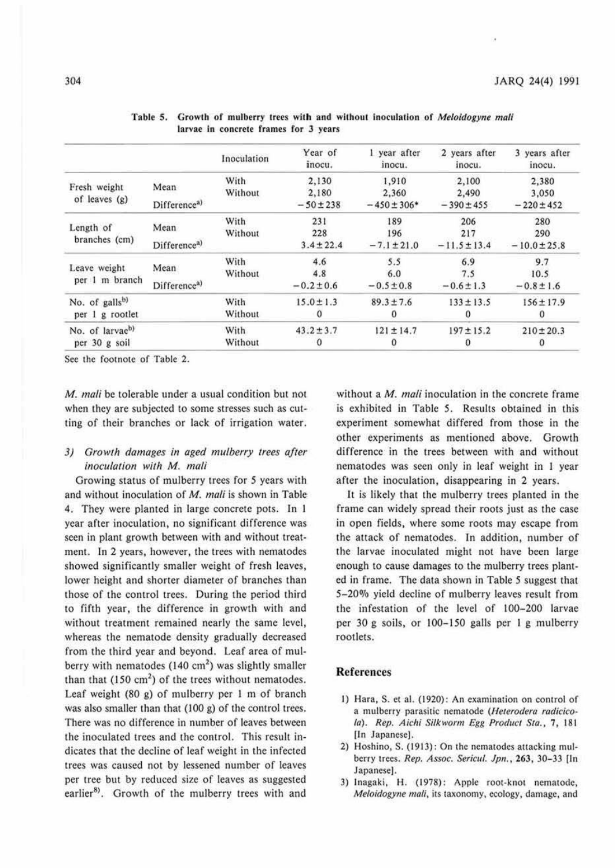|                            |                          | Inoculation | Year of<br>inocu. | 1 year after<br>inocu. | 2 years after<br>inocu. | 3 years after<br>inocu. |
|----------------------------|--------------------------|-------------|-------------------|------------------------|-------------------------|-------------------------|
|                            |                          | With        | 2,130             | 1,910                  | 2,100                   | 2,380                   |
| Fresh weight               | Mean                     | Without     | 2,180             | 2,360                  | 2,490                   | 3,050                   |
| of leaves (g)              | Difference <sup>a)</sup> |             | $-50 \pm 238$     | $-450 \pm 306*$        | $-390 \pm 455$          | $-220 \pm 452$          |
|                            |                          | With        | 231               | 189                    | 206                     | 280                     |
| Length of<br>branches (cm) | Mean                     | Without     | 228               | 196                    | 217                     | 290                     |
|                            | Difference <sup>a)</sup> |             | $3.4 \pm 22.4$    | $-7.1 \pm 21.0$        | $-11.5 \pm 13.4$        | $-10.0 \pm 25.8$        |
|                            | Mean                     | With        | 4.6               | 5.5                    | 6.9                     | 9.7                     |
| Leave weight               |                          | Without     | 4.8               | 6.0                    | 7.5                     | 10.5                    |
| per 1 m branch             | Difference <sup>a)</sup> |             | $-0.2 \pm 0.6$    | $-0.5 \pm 0.8$         | $-0.6 \pm 1.3$          | $-0.8 \pm 1.6$          |
| No. of galls <sup>b)</sup> |                          | With        | $15.0 \pm 1.3$    | $89.3 \pm 7.6$         | $133 \pm 13.5$          | $156 \pm 17.9$          |
| per 1 g rootlet            |                          | Without     | $\theta$          | 0                      | $\Omega$                | 0                       |
| No. of larvaeb)            |                          | With        | $43.2 \pm 3.7$    | $121 \pm 14.7$         | $197 \pm 15.2$          | $210 \pm 20.3$          |
| per 30 g soil              |                          | Without     | $\theta$          | 0                      |                         | 0                       |

| Table 5. Growth of mulberry trees with and without inoculation of <i>Meloidogyne mali</i> |
|-------------------------------------------------------------------------------------------|
| larvae in concrete frames for 3 years                                                     |

Sec the footnote of Table 2.

**M.** *mali* be tolerable under a usual condition but not when they are subjected to some stresses such as cutting of their branches or lack of irrigation water.

## *3) Growth damages in aged mulberry trees after inoculation with* **M.** *mali*

Growing status of mulberry trees for *5* years with and without inoculation of M. *mali* is shown in Table 4. They were planted in large concrete pots. In I year after inoculation, no significant difference was seen in plant growth between with and without treatment. In 2 years, however, the trees with nematodes showed significantly smaller weight of fresh leaves, lower height and shorter diameter of branches than those of the control trees. During the period third to fifth year, the difference in growth with and without treatment remained nearly the same level, whereas the nematode density gradually decreased from the third year and beyond. Leaf area of mulberry with nematodes  $(140 \text{ cm}^2)$  was slightly smaller than that  $(150 \text{ cm}^2)$  of the trees without nematodes. Leaf weight (80 g) of mulberry per I m of branch was also smaller than that  $(100 g)$  of the control trees. There was no difference in number of leaves between the inoculated trees and the control. This result indicates that the decline of leaf weight in the infected trees was caused not by lessened number of leaves per tree but by reduced size of leaves as suggested earlier<sup>8)</sup>. Growth of the mulberry trees with and without a *M. mali* inoculation in the concrete frame is exhibited in Table *5.* Results obtained in this experiment somewhat differed from those in the other experiments as mentioned above. Growth difference in the trees between with and without nematodes was seen only in leaf weight in I year after the inoculation, disappearing in 2 years.

It is likely that the mulberry trees planted in the frame can widely spread their roots just as the case in open fields, where some roots may escape from the attack of nematodes. In addition, number of the larvae inoculated might not have been large enough to cause damages to the mulberry trees planted in frame. The data shown in Table *5* suggest that 5-20% yield decline of mulberry leaves result from the infestation of the level of 100-200 larvae per 30 g soils, or 100-150 galls per 1 g mulberry rootlets.

#### **References**

- I) Hara, S. et al. (1920): An examination on control of a mulberry parasitic nematode (Heterodera radicicola). *Rep. Aichi Silkworm Egg Product Sta.*, 7, 181 [In Japanese).
- 2) Hoshino. S. (1913): On the nematodes attacking mulberry 1rees. *Rep.* Assoc. Sericul. Jpn., 263, 30-33 (In Japanese].
- 3) Inagaki, H. (1978): Apple root-knot nematode, Meloidogyne mali. its taxonomy. ecology. damage. and